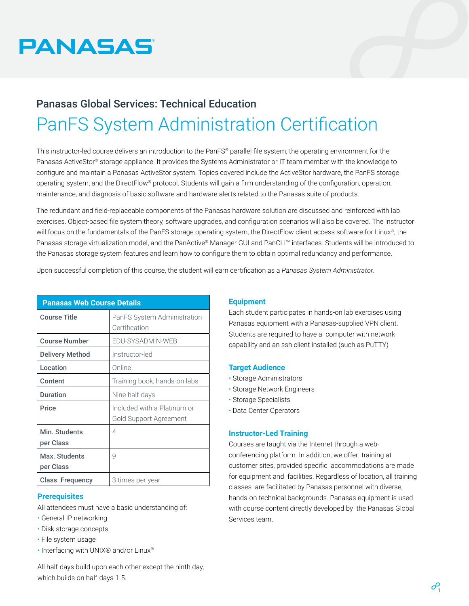

# Panasas Global Services: Technical Education PanFS System Administration Certification

This instructor-led course delivers an introduction to the PanFS® parallel file system, the operating environment for the Panasas ActiveStor® storage appliance. It provides the Systems Administrator or IT team member with the knowledge to configure and maintain a Panasas ActiveStor system. Topics covered include the ActiveStor hardware, the PanFS storage operating system, and the DirectFlow® protocol. Students will gain a firm understanding of the configuration, operation, maintenance, and diagnosis of basic software and hardware alerts related to the Panasas suite of products.

The redundant and field-replaceable components of the Panasas hardware solution are discussed and reinforced with lab exercises. Object-based file system theory, software upgrades, and configuration scenarios will also be covered. The instructor will focus on the fundamentals of the PanFS storage operating system, the DirectFlow client access software for Linux®, the Panasas storage virtualization model, and the PanActive® Manager GUI and PanCLI™ interfaces. Students will be introduced to the Panasas storage system features and learn how to configure them to obtain optimal redundancy and performance.

Upon successful completion of this course, the student will earn certification as a *Panasas System Administrator*.

| <b>Panasas Web Course Details</b> |                              |
|-----------------------------------|------------------------------|
| <b>Course Title</b>               | PanFS System Administration  |
|                                   | Certification                |
| <b>Course Number</b>              | EDU-SYSADMIN-WEB             |
| Delivery Method                   | Instructor-led               |
| Location                          | Online                       |
| Content                           | Training book, hands-on labs |
| <b>Duration</b>                   | Nine half-days               |
| Price                             | Included with a Platinum or  |
|                                   | Gold Support Agreement       |
| Min. Students                     | 4                            |
| per Class                         |                              |
| Max. Students                     | 9                            |
| per Class                         |                              |
| <b>Class Frequency</b>            | 3 times per year             |

# **Prerequisites**

All attendees must have a basic understanding of:

- General IP networking
- Disk storage concepts
- File system usage
- Interfacing with UNIX® and/or Linux®

All half-days build upon each other except the ninth day, which builds on half-days 1-5.

# **Equipment**

Each student participates in hands-on lab exercises using Panasas equipment with a Panasas-supplied VPN client. Students are required to have a computer with network capability and an ssh client installed (such as PuTTY)

# **Target Audience**

- Storage Administrators
- Storage Network Engineers
- Storage Specialists
- Data Center Operators

# **Instructor-Led Training**

Courses are taught via the Internet through a webconferencing platform. In addition, we offer training at customer sites, provided specific accommodations are made for equipment and facilities. Regardless of location, all training classes are facilitated by Panasas personnel with diverse, hands-on technical backgrounds. Panasas equipment is used with course content directly developed by the Panasas Global Services team.